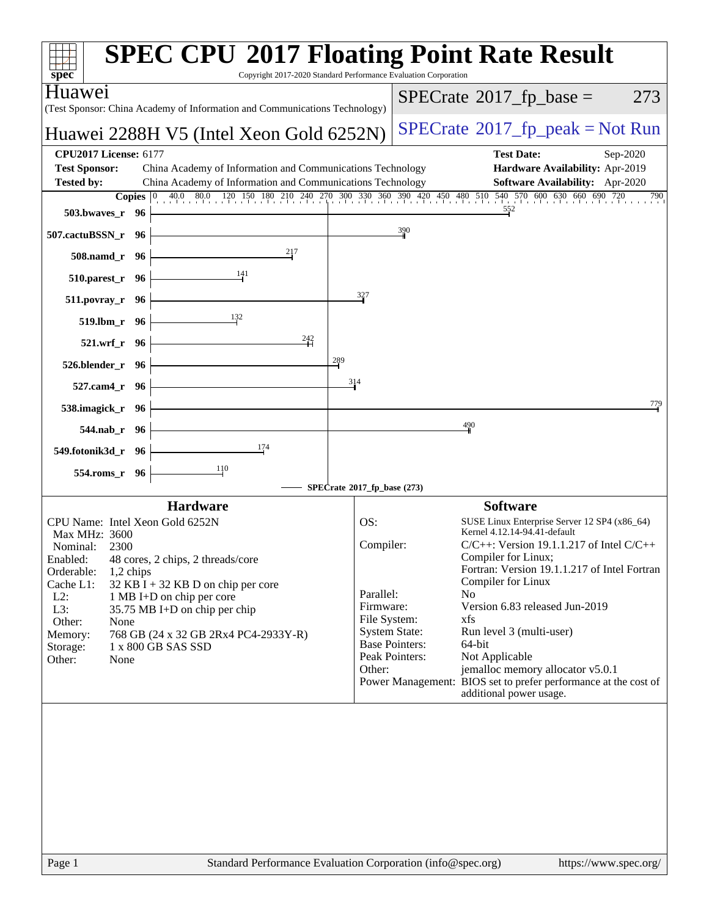| Copyright 2017-2020 Standard Performance Evaluation Corporation<br>spec <sup>®</sup><br>Huaweı<br>$SPECrate^{\circledast}2017$ _fp_base =                                           | 273 |
|-------------------------------------------------------------------------------------------------------------------------------------------------------------------------------------|-----|
|                                                                                                                                                                                     |     |
| (Test Sponsor: China Academy of Information and Communications Technology)                                                                                                          |     |
| $SPECrate^{\circ}2017rfp peak = Not Run$<br>Huawei 2288H V5 (Intel Xeon Gold 6252N)                                                                                                 |     |
| <b>CPU2017 License: 6177</b><br><b>Test Date:</b><br>Sep-2020                                                                                                                       |     |
| <b>Test Sponsor:</b><br>China Academy of Information and Communications Technology<br>Hardware Availability: Apr-2019<br>China Academy of Information and Communications Technology |     |
| <b>Tested by:</b><br><b>Software Availability:</b> Apr-2020<br><b>Copies</b> 0 40.0 80.0 120 150 180 210 240 270 300 330 360 390 420 450 480 510 540 570 600 630 660 690 720        | 790 |
| 552<br>503.bwaves_r<br>- 96                                                                                                                                                         |     |
| 390<br>507.cactuBSSN_r 96                                                                                                                                                           |     |
| 217<br>508.namd_r 96                                                                                                                                                                |     |
| <u>141</u><br>510.parest_r 96                                                                                                                                                       |     |
| 327<br>$511. povray_r$ 96                                                                                                                                                           |     |
| 132<br>519.lbm_r 96                                                                                                                                                                 |     |
| 242<br>521.wrf_r 96                                                                                                                                                                 |     |
| 289<br>526.blender r 96                                                                                                                                                             |     |
| 314<br>$527$ .cam4 $r$<br>- 96                                                                                                                                                      |     |
| 538.imagick_r<br>- 96                                                                                                                                                               | 779 |
| 490<br>544.nab_r 96                                                                                                                                                                 |     |
| 174<br>549.fotonik3d_r 96                                                                                                                                                           |     |
| 110<br>554.roms_r<br>96                                                                                                                                                             |     |
| SPECrate®2017_fp_base (273)                                                                                                                                                         |     |
| <b>Software</b><br><b>Hardware</b><br>CPU Name: Intel Xeon Gold 6252N<br>OS:<br>SUSE Linux Enterprise Server 12 SP4 (x86 64)                                                        |     |
| Kernel 4.12.14-94.41-default<br>Max MHz: 3600                                                                                                                                       |     |
| Compiler:<br>$C/C++$ : Version 19.1.1.217 of Intel $C/C++$<br>Nominal:<br>2300                                                                                                      |     |
| Compiler for Linux;<br>Enabled:<br>48 cores, 2 chips, 2 threads/core<br>Fortran: Version 19.1.1.217 of Intel Fortran<br>Orderable:<br>1,2 chips                                     |     |
| Compiler for Linux<br>Cache L1:<br>$32$ KB I + 32 KB D on chip per core                                                                                                             |     |
| Parallel:<br>No<br>$L2$ :<br>1 MB I+D on chip per core<br>Version 6.83 released Jun-2019<br>Firmware:                                                                               |     |
| L3:<br>35.75 MB I+D on chip per chip<br>File System:<br>xfs<br>Other:<br>None                                                                                                       |     |
| <b>System State:</b><br>Run level 3 (multi-user)<br>Memory:<br>768 GB (24 x 32 GB 2Rx4 PC4-2933Y-R)                                                                                 |     |
| <b>Base Pointers:</b><br>64-bit<br>1 x 800 GB SAS SSD<br>Storage:                                                                                                                   |     |
| Peak Pointers:<br>Not Applicable<br>Other:<br>None<br>jemalloc memory allocator v5.0.1<br>Other:                                                                                    |     |
| Power Management: BIOS set to prefer performance at the cost of                                                                                                                     |     |
| additional power usage.                                                                                                                                                             |     |
|                                                                                                                                                                                     |     |
|                                                                                                                                                                                     |     |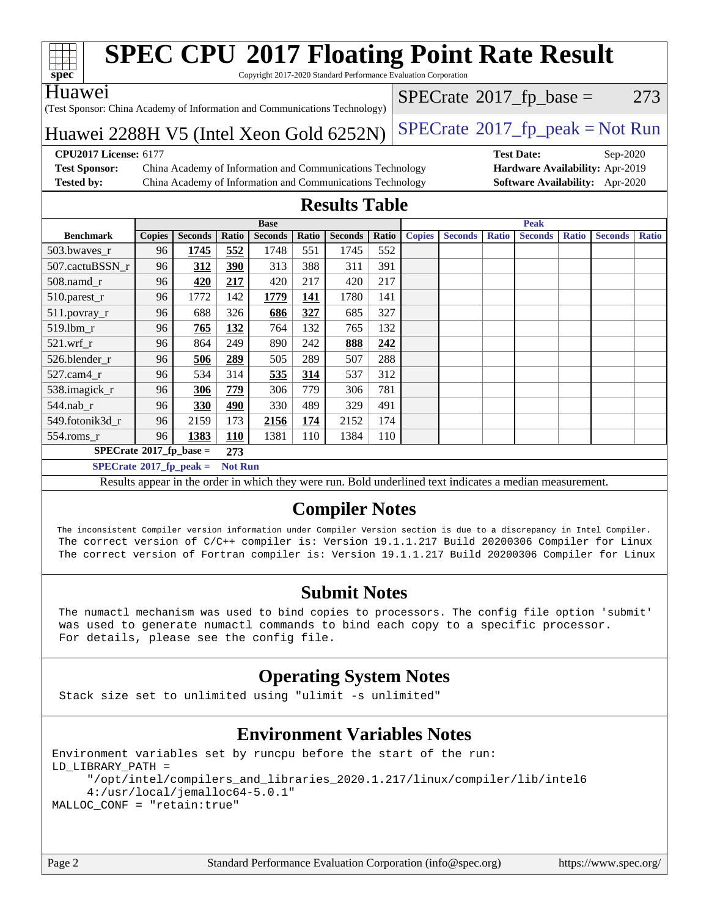

Copyright 2017-2020 Standard Performance Evaluation Corporation

### Huawei

(Test Sponsor: China Academy of Information and Communications Technology)

 $SPECTate@2017_fp\_base = 273$ 

Huawei 2288H V5 (Intel Xeon Gold  $6252N$ ) [SPECrate](http://www.spec.org/auto/cpu2017/Docs/result-fields.html#SPECrate2017fppeak)®[2017\\_fp\\_peak = N](http://www.spec.org/auto/cpu2017/Docs/result-fields.html#SPECrate2017fppeak)ot Run

**[Test Sponsor:](http://www.spec.org/auto/cpu2017/Docs/result-fields.html#TestSponsor)** China Academy of Information and Communications Technology **[Hardware Availability:](http://www.spec.org/auto/cpu2017/Docs/result-fields.html#HardwareAvailability)** Apr-2019 **[Tested by:](http://www.spec.org/auto/cpu2017/Docs/result-fields.html#Testedby)** China Academy of Information and Communications Technology **[Software Availability:](http://www.spec.org/auto/cpu2017/Docs/result-fields.html#SoftwareAvailability)** Apr-2020

**[CPU2017 License:](http://www.spec.org/auto/cpu2017/Docs/result-fields.html#CPU2017License)** 6177 **[Test Date:](http://www.spec.org/auto/cpu2017/Docs/result-fields.html#TestDate)** Sep-2020

### **[Results Table](http://www.spec.org/auto/cpu2017/Docs/result-fields.html#ResultsTable)**

|                                         | <b>Base</b>   |                |            |                | <b>Peak</b> |                |       |               |                |              |                |              |                |              |
|-----------------------------------------|---------------|----------------|------------|----------------|-------------|----------------|-------|---------------|----------------|--------------|----------------|--------------|----------------|--------------|
| <b>Benchmark</b>                        | <b>Copies</b> | <b>Seconds</b> | Ratio      | <b>Seconds</b> | Ratio       | <b>Seconds</b> | Ratio | <b>Copies</b> | <b>Seconds</b> | <b>Ratio</b> | <b>Seconds</b> | <b>Ratio</b> | <b>Seconds</b> | <b>Ratio</b> |
| 503.bwayes r                            | 96            | 1745           | 552        | 1748           | 551         | 1745           | 552   |               |                |              |                |              |                |              |
| 507.cactuBSSN r                         | 96            | 312            | 390        | 313            | 388         | 311            | 391   |               |                |              |                |              |                |              |
| $508$ .namd $r$                         | 96            | 420            | 217        | 420            | 217         | 420            | 217   |               |                |              |                |              |                |              |
| 510.parest_r                            | 96            | 1772           | 142        | 1779           | 141         | 1780           | 141   |               |                |              |                |              |                |              |
| 511.povray_r                            | 96            | 688            | 326        | 686            | 327         | 685            | 327   |               |                |              |                |              |                |              |
| 519.1bm r                               | 96            | 765            | 132        | 764            | 132         | 765            | 132   |               |                |              |                |              |                |              |
| 521.wrf                                 | 96            | 864            | 249        | 890            | 242         | 888            | 242   |               |                |              |                |              |                |              |
| 526.blender r                           | 96            | 506            | 289        | 505            | 289         | 507            | 288   |               |                |              |                |              |                |              |
| $527$ .cam $4r$                         | 96            | 534            | 314        | 535            | 314         | 537            | 312   |               |                |              |                |              |                |              |
| 538.imagick_r                           | 96            | 306            | 779        | 306            | 779         | 306            | 781   |               |                |              |                |              |                |              |
| $544$ .nab r                            | 96            | 330            | 490        | 330            | 489         | 329            | 491   |               |                |              |                |              |                |              |
| 549.fotonik3d r                         | 96            | 2159           | 173        | 2156           | 174         | 2152           | 174   |               |                |              |                |              |                |              |
| $554$ .roms_r                           | 96            | 1383           | <b>110</b> | 1381           | 110         | 1384           | 110   |               |                |              |                |              |                |              |
| $SPECrate^{\circ}2017$ fp base =<br>273 |               |                |            |                |             |                |       |               |                |              |                |              |                |              |
| $SPECrate^{\circ}2017$ _fp_peak =       |               |                |            | <b>Not Run</b> |             |                |       |               |                |              |                |              |                |              |

Results appear in the [order in which they were run](http://www.spec.org/auto/cpu2017/Docs/result-fields.html#RunOrder). Bold underlined text [indicates a median measurement](http://www.spec.org/auto/cpu2017/Docs/result-fields.html#Median).

## **[Compiler Notes](http://www.spec.org/auto/cpu2017/Docs/result-fields.html#CompilerNotes)**

 The inconsistent Compiler version information under Compiler Version section is due to a discrepancy in Intel Compiler. The correct version of C/C++ compiler is: Version 19.1.1.217 Build 20200306 Compiler for Linux The correct version of Fortran compiler is: Version 19.1.1.217 Build 20200306 Compiler for Linux

### **[Submit Notes](http://www.spec.org/auto/cpu2017/Docs/result-fields.html#SubmitNotes)**

 The numactl mechanism was used to bind copies to processors. The config file option 'submit' was used to generate numactl commands to bind each copy to a specific processor. For details, please see the config file.

## **[Operating System Notes](http://www.spec.org/auto/cpu2017/Docs/result-fields.html#OperatingSystemNotes)**

Stack size set to unlimited using "ulimit -s unlimited"

## **[Environment Variables Notes](http://www.spec.org/auto/cpu2017/Docs/result-fields.html#EnvironmentVariablesNotes)**

```
Environment variables set by runcpu before the start of the run:
LD_LIBRARY_PATH =
      "/opt/intel/compilers_and_libraries_2020.1.217/linux/compiler/lib/intel6
      4:/usr/local/jemalloc64-5.0.1"
MALLOC_CONF = "retain:true"
```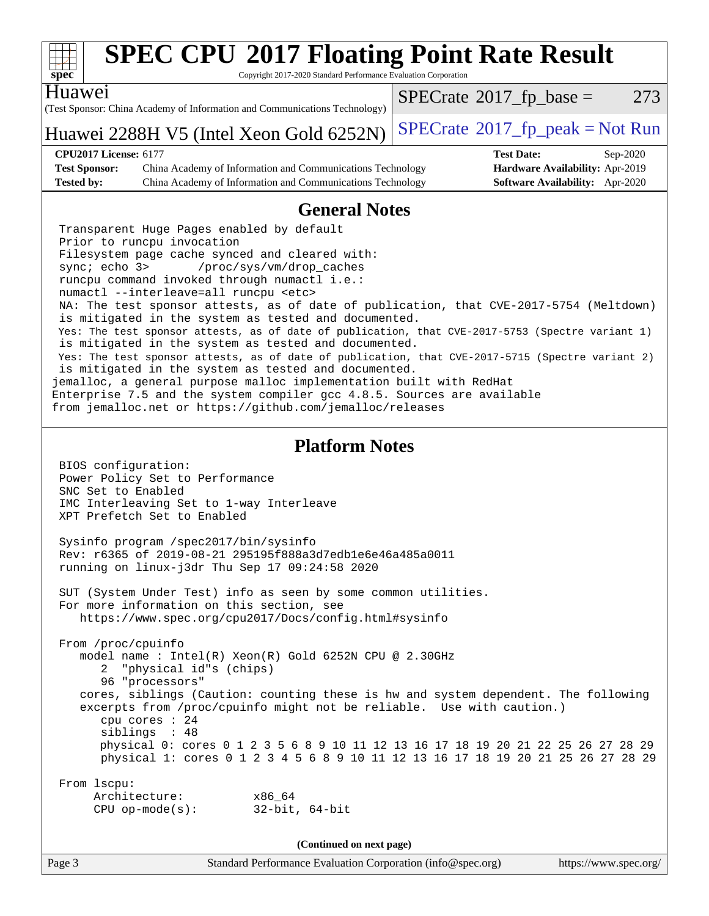| S)<br>ŧ<br>U<br>Ľ<br>ċ |  |  |  |  |  |
|------------------------|--|--|--|--|--|

Copyright 2017-2020 Standard Performance Evaluation Corporation

(Test Sponsor: China Academy of Information and Communications Technology) Huawei Huawei 2288H V5 (Intel Xeon Gold  $6252N$ ) [SPECrate](http://www.spec.org/auto/cpu2017/Docs/result-fields.html#SPECrate2017fppeak)®[2017\\_fp\\_peak = N](http://www.spec.org/auto/cpu2017/Docs/result-fields.html#SPECrate2017fppeak)ot Run  $SPECTate@2017_fp\_base = 273$ **[CPU2017 License:](http://www.spec.org/auto/cpu2017/Docs/result-fields.html#CPU2017License)** 6177 **[Test Date:](http://www.spec.org/auto/cpu2017/Docs/result-fields.html#TestDate)** Sep-2020 **[Test Sponsor:](http://www.spec.org/auto/cpu2017/Docs/result-fields.html#TestSponsor)** China Academy of Information and Communications Technology **[Hardware Availability:](http://www.spec.org/auto/cpu2017/Docs/result-fields.html#HardwareAvailability)** Apr-2019 **[Tested by:](http://www.spec.org/auto/cpu2017/Docs/result-fields.html#Testedby)** China Academy of Information and Communications Technology **[Software Availability:](http://www.spec.org/auto/cpu2017/Docs/result-fields.html#SoftwareAvailability)** Apr-2020 **[General Notes](http://www.spec.org/auto/cpu2017/Docs/result-fields.html#GeneralNotes)** Transparent Huge Pages enabled by default Prior to runcpu invocation Filesystem page cache synced and cleared with: sync; echo 3> /proc/sys/vm/drop\_caches runcpu command invoked through numactl i.e.: numactl --interleave=all runcpu <etc> NA: The test sponsor attests, as of date of publication, that CVE-2017-5754 (Meltdown) is mitigated in the system as tested and documented. Yes: The test sponsor attests, as of date of publication, that CVE-2017-5753 (Spectre variant 1) is mitigated in the system as tested and documented. Yes: The test sponsor attests, as of date of publication, that CVE-2017-5715 (Spectre variant 2) is mitigated in the system as tested and documented. jemalloc, a general purpose malloc implementation built with RedHat Enterprise 7.5 and the system compiler gcc 4.8.5. Sources are available from jemalloc.net or <https://github.com/jemalloc/releases> **[Platform Notes](http://www.spec.org/auto/cpu2017/Docs/result-fields.html#PlatformNotes)** BIOS configuration: Power Policy Set to Performance SNC Set to Enabled IMC Interleaving Set to 1-way Interleave XPT Prefetch Set to Enabled Sysinfo program /spec2017/bin/sysinfo Rev: r6365 of 2019-08-21 295195f888a3d7edb1e6e46a485a0011 running on linux-j3dr Thu Sep 17 09:24:58 2020 SUT (System Under Test) info as seen by some common utilities. For more information on this section, see <https://www.spec.org/cpu2017/Docs/config.html#sysinfo> From /proc/cpuinfo model name : Intel(R) Xeon(R) Gold 6252N CPU @ 2.30GHz 2 "physical id"s (chips) 96 "processors" cores, siblings (Caution: counting these is hw and system dependent. The following excerpts from /proc/cpuinfo might not be reliable. Use with caution.) cpu cores : 24 siblings : 48 physical 0: cores 0 1 2 3 5 6 8 9 10 11 12 13 16 17 18 19 20 21 22 25 26 27 28 29 physical 1: cores 0 1 2 3 4 5 6 8 9 10 11 12 13 16 17 18 19 20 21 25 26 27 28 29 From lscpu: Architecture: x86\_64 CPU op-mode(s): 32-bit, 64-bit **(Continued on next page)**

Page 3 Standard Performance Evaluation Corporation [\(info@spec.org\)](mailto:info@spec.org) <https://www.spec.org/>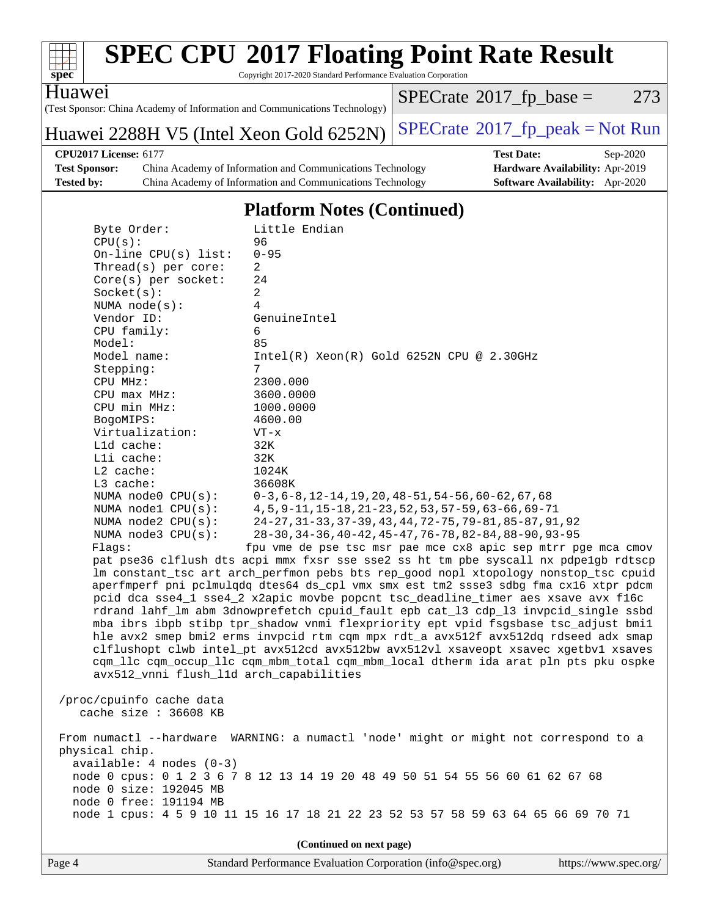

Copyright 2017-2020 Standard Performance Evaluation Corporation

Huawei

(Test Sponsor: China Academy of Information and Communications Technology)

Huawei 2288H V5 (Intel Xeon Gold  $6252N$ ) [SPECrate](http://www.spec.org/auto/cpu2017/Docs/result-fields.html#SPECrate2017fppeak)®[2017\\_fp\\_peak = N](http://www.spec.org/auto/cpu2017/Docs/result-fields.html#SPECrate2017fppeak)ot Run

 $SPECTate@2017_fp\_base = 273$ 

**[Test Sponsor:](http://www.spec.org/auto/cpu2017/Docs/result-fields.html#TestSponsor)** China Academy of Information and Communications Technology **[Hardware Availability:](http://www.spec.org/auto/cpu2017/Docs/result-fields.html#HardwareAvailability)** Apr-2019 **[Tested by:](http://www.spec.org/auto/cpu2017/Docs/result-fields.html#Testedby)** China Academy of Information and Communications Technology **[Software Availability:](http://www.spec.org/auto/cpu2017/Docs/result-fields.html#SoftwareAvailability)** Apr-2020

**[CPU2017 License:](http://www.spec.org/auto/cpu2017/Docs/result-fields.html#CPU2017License)** 6177 **[Test Date:](http://www.spec.org/auto/cpu2017/Docs/result-fields.html#TestDate)** Sep-2020

## **[Platform Notes \(Continued\)](http://www.spec.org/auto/cpu2017/Docs/result-fields.html#PlatformNotes)**

| Byte Order:                             | Little Endian                                                                        |
|-----------------------------------------|--------------------------------------------------------------------------------------|
| CPU(s):                                 | 96                                                                                   |
| On-line $CPU(s)$ list:                  | $0 - 95$                                                                             |
| Thread(s) per core:                     | 2                                                                                    |
| Core(s) per socket:                     | 24                                                                                   |
| Socket(s):                              | $\overline{a}$                                                                       |
| NUMA $node(s)$ :                        | $\overline{4}$                                                                       |
| Vendor ID:                              | GenuineIntel                                                                         |
| CPU family:                             | 6                                                                                    |
| Model:                                  | 85                                                                                   |
| Model name:                             | $Intel(R) Xeon(R) Gold 6252N CPU @ 2.30GHz$                                          |
| Stepping:                               | 7                                                                                    |
| CPU MHz:                                | 2300.000                                                                             |
| CPU max MHz:                            | 3600.0000                                                                            |
| CPU min MHz:                            | 1000.0000                                                                            |
| BogoMIPS:                               | 4600.00                                                                              |
| Virtualization:                         | VT-x                                                                                 |
| L1d cache:                              | 32K                                                                                  |
| Lli cache:                              | 32K                                                                                  |
| L2 cache:                               | 1024K                                                                                |
| L3 cache:                               | 36608K                                                                               |
| NUMA node0 CPU(s):                      | $0-3, 6-8, 12-14, 19, 20, 48-51, 54-56, 60-62, 67, 68$                               |
| NUMA $node1$ $CPU(s):$                  | 4, 5, 9-11, 15-18, 21-23, 52, 53, 57-59, 63-66, 69-71                                |
| NUMA node2 CPU(s):                      | 24-27, 31-33, 37-39, 43, 44, 72-75, 79-81, 85-87, 91, 92                             |
| NUMA $node3$ CPU $(s)$ :                | 28-30, 34-36, 40-42, 45-47, 76-78, 82-84, 88-90, 93-95                               |
| Flaqs:                                  | fpu vme de pse tsc msr pae mce cx8 apic sep mtrr pge mca cmov                        |
|                                         | pat pse36 clflush dts acpi mmx fxsr sse sse2 ss ht tm pbe syscall nx pdpe1gb rdtscp  |
|                                         | lm constant_tsc art arch_perfmon pebs bts rep_good nopl xtopology nonstop_tsc cpuid  |
|                                         | aperfmperf pni pclmulqdq dtes64 ds_cpl vmx smx est tm2 ssse3 sdbg fma cx16 xtpr pdcm |
|                                         | pcid dca sse4_1 sse4_2 x2apic movbe popcnt tsc_deadline_timer aes xsave avx f16c     |
|                                         |                                                                                      |
|                                         | rdrand lahf_lm abm 3dnowprefetch cpuid_fault epb cat_13 cdp_13 invpcid_single ssbd   |
|                                         | mba ibrs ibpb stibp tpr_shadow vnmi flexpriority ept vpid fsgsbase tsc_adjust bmil   |
|                                         | hle avx2 smep bmi2 erms invpcid rtm cqm mpx rdt_a avx512f avx512dq rdseed adx smap   |
|                                         | clflushopt clwb intel_pt avx512cd avx512bw avx512vl xsaveopt xsavec xgetbvl xsaves   |
|                                         | cqm_llc cqm_occup_llc cqm_mbm_total cqm_mbm_local dtherm ida arat pln pts pku ospke  |
| avx512_vnni flush_l1d arch_capabilities |                                                                                      |
|                                         |                                                                                      |
| /proc/cpuinfo cache data                |                                                                                      |
| cache size $: 36608$ KB                 |                                                                                      |
|                                         |                                                                                      |
| From numactl --hardware                 | WARNING: a numactl 'node' might or might not correspond to a                         |
| physical chip.                          |                                                                                      |
| $available: 4 nodes (0-3)$              |                                                                                      |
|                                         | node 0 cpus: 0 1 2 3 6 7 8 12 13 14 19 20 48 49 50 51 54 55 56 60 61 62 67 68        |
| node 0 size: 192045 MB                  |                                                                                      |
| node 0 free: 191194 MB                  |                                                                                      |
|                                         | node 1 cpus: 4 5 9 10 11 15 16 17 18 21 22 23 52 53 57 58 59 63 64 65 66 69 70 71    |
|                                         |                                                                                      |

**(Continued on next page)**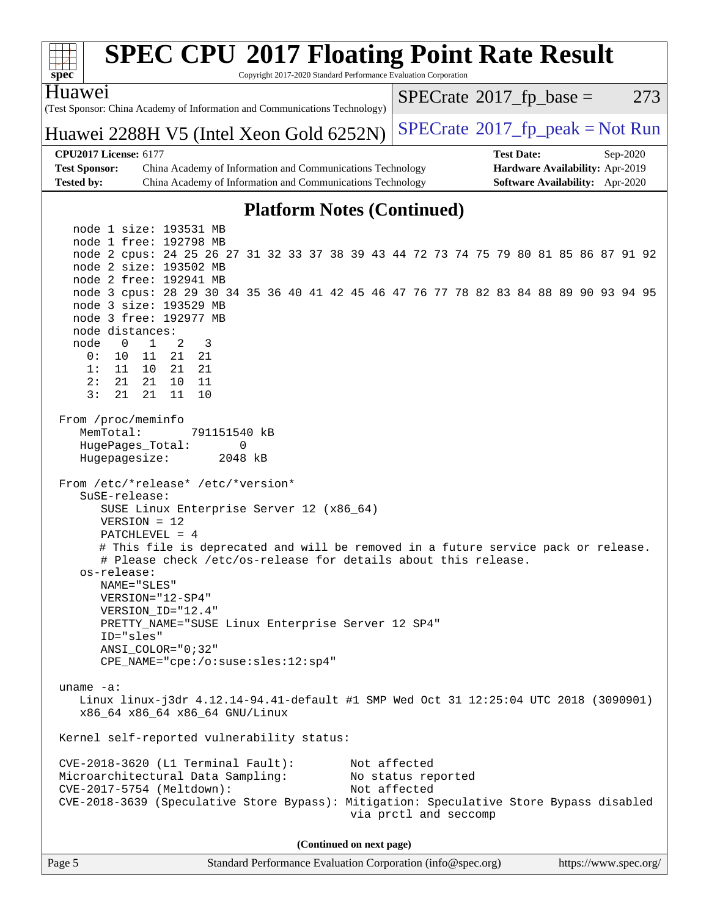| S)<br>ne<br>Ľ |  |  |  |  |  |
|---------------|--|--|--|--|--|

Copyright 2017-2020 Standard Performance Evaluation Corporation

(Test Sponsor: China Academy of Information and Communications Technology) Huawei

Huawei 2288H V5 (Intel Xeon Gold  $6252N$ ) [SPECrate](http://www.spec.org/auto/cpu2017/Docs/result-fields.html#SPECrate2017fppeak)®[2017\\_fp\\_peak = N](http://www.spec.org/auto/cpu2017/Docs/result-fields.html#SPECrate2017fppeak)ot Run

 $SPECTate$ <sup>®</sup>[2017\\_fp\\_base =](http://www.spec.org/auto/cpu2017/Docs/result-fields.html#SPECrate2017fpbase) 273

**[CPU2017 License:](http://www.spec.org/auto/cpu2017/Docs/result-fields.html#CPU2017License)** 6177 **[Test Date:](http://www.spec.org/auto/cpu2017/Docs/result-fields.html#TestDate)** Sep-2020 **[Test Sponsor:](http://www.spec.org/auto/cpu2017/Docs/result-fields.html#TestSponsor)** China Academy of Information and Communications Technology **[Hardware Availability:](http://www.spec.org/auto/cpu2017/Docs/result-fields.html#HardwareAvailability)** Apr-2019 **[Tested by:](http://www.spec.org/auto/cpu2017/Docs/result-fields.html#Testedby)** China Academy of Information and Communications Technology **[Software Availability:](http://www.spec.org/auto/cpu2017/Docs/result-fields.html#SoftwareAvailability)** Apr-2020

## **[Platform Notes \(Continued\)](http://www.spec.org/auto/cpu2017/Docs/result-fields.html#PlatformNotes)**

 node 1 size: 193531 MB node 1 free: 192798 MB node 2 cpus: 24 25 26 27 31 32 33 37 38 39 43 44 72 73 74 75 79 80 81 85 86 87 91 92 node 2 size: 193502 MB node 2 free: 192941 MB node 3 cpus: 28 29 30 34 35 36 40 41 42 45 46 47 76 77 78 82 83 84 88 89 90 93 94 95 node 3 size: 193529 MB node 3 free: 192977 MB node distances: node 0 1 2 3 0: 10 11 21 21 1: 11 10 21 21 2: 21 21 10 11 3: 21 21 11 10 From /proc/meminfo MemTotal: 791151540 kB HugePages\_Total: 0 Hugepagesize: 2048 kB From /etc/\*release\* /etc/\*version\* SuSE-release: SUSE Linux Enterprise Server 12 (x86\_64) VERSION = 12 PATCHLEVEL = 4 # This file is deprecated and will be removed in a future service pack or release. # Please check /etc/os-release for details about this release. os-release: NAME="SLES" VERSION="12-SP4" VERSION\_ID="12.4" PRETTY\_NAME="SUSE Linux Enterprise Server 12 SP4" ID="sles" ANSI\_COLOR="0;32" CPE\_NAME="cpe:/o:suse:sles:12:sp4" uname -a: Linux linux-j3dr 4.12.14-94.41-default #1 SMP Wed Oct 31 12:25:04 UTC 2018 (3090901) x86\_64 x86\_64 x86\_64 GNU/Linux Kernel self-reported vulnerability status: CVE-2018-3620 (L1 Terminal Fault): Not affected Microarchitectural Data Sampling: No status reported CVE-2017-5754 (Meltdown): Not affected CVE-2018-3639 (Speculative Store Bypass): Mitigation: Speculative Store Bypass disabled via prctl and seccomp **(Continued on next page)**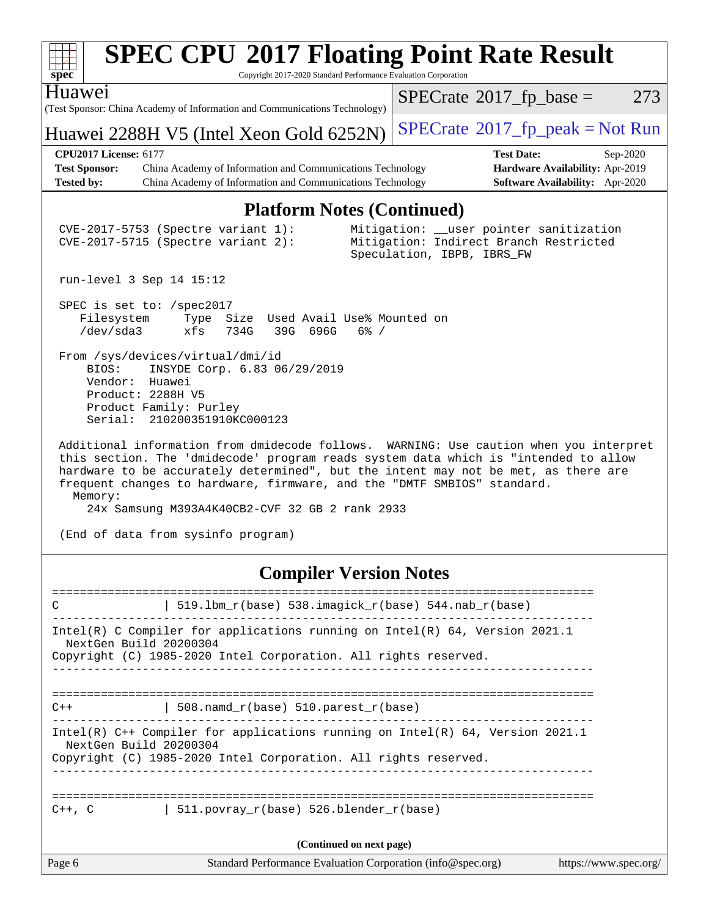| S<br>U<br>e<br>L. |  |  |  |  |  |  |
|-------------------|--|--|--|--|--|--|

Copyright 2017-2020 Standard Performance Evaluation Corporation

(Test Sponsor: China Academy of Information and Communications Technology) Huawei

Huawei 2288H V5 (Intel Xeon Gold  $6252N$ ) [SPECrate](http://www.spec.org/auto/cpu2017/Docs/result-fields.html#SPECrate2017fppeak)®[2017\\_fp\\_peak = N](http://www.spec.org/auto/cpu2017/Docs/result-fields.html#SPECrate2017fppeak)ot Run

 $SPECTate@2017_fp\_base = 273$ 

**[CPU2017 License:](http://www.spec.org/auto/cpu2017/Docs/result-fields.html#CPU2017License)** 6177 **[Test Date:](http://www.spec.org/auto/cpu2017/Docs/result-fields.html#TestDate)** Sep-2020

**[Test Sponsor:](http://www.spec.org/auto/cpu2017/Docs/result-fields.html#TestSponsor)** China Academy of Information and Communications Technology **[Hardware Availability:](http://www.spec.org/auto/cpu2017/Docs/result-fields.html#HardwareAvailability)** Apr-2019 **[Tested by:](http://www.spec.org/auto/cpu2017/Docs/result-fields.html#Testedby)** China Academy of Information and Communications Technology **[Software Availability:](http://www.spec.org/auto/cpu2017/Docs/result-fields.html#SoftwareAvailability)** Apr-2020

### **[Platform Notes \(Continued\)](http://www.spec.org/auto/cpu2017/Docs/result-fields.html#PlatformNotes)**

 CVE-2017-5753 (Spectre variant 1): Mitigation: \_\_user pointer sanitization CVE-2017-5715 (Spectre variant 2): Mitigation: Indirect Branch Restricted Speculation, IBPB, IBRS\_FW

run-level 3 Sep 14 15:12

 SPEC is set to: /spec2017 Filesystem Type Size Used Avail Use% Mounted on /dev/sda3 xfs 734G 39G 696G 6% /

 From /sys/devices/virtual/dmi/id BIOS: INSYDE Corp. 6.83 06/29/2019 Vendor: Huawei Product: 2288H V5 Product Family: Purley Serial: 210200351910KC000123

 Additional information from dmidecode follows. WARNING: Use caution when you interpret this section. The 'dmidecode' program reads system data which is "intended to allow hardware to be accurately determined", but the intent may not be met, as there are frequent changes to hardware, firmware, and the "DMTF SMBIOS" standard. Memory:

24x Samsung M393A4K40CB2-CVF 32 GB 2 rank 2933

(End of data from sysinfo program)

### **[Compiler Version Notes](http://www.spec.org/auto/cpu2017/Docs/result-fields.html#CompilerVersionNotes)**

| C           | 519.1bm_r(base) 538.imagick_r(base) 544.nab_r(base)                                                                                                                          |                       |
|-------------|------------------------------------------------------------------------------------------------------------------------------------------------------------------------------|-----------------------|
|             | Intel(R) C Compiler for applications running on Intel(R) $64$ , Version 2021.1<br>NextGen Build 20200304<br>Copyright (C) 1985-2020 Intel Corporation. All rights reserved.  |                       |
| $C++$       | -----------------------------------<br>508. namd $r(base)$ 510. parest $r(base)$                                                                                             |                       |
|             | Intel(R) $C++$ Compiler for applications running on Intel(R) 64, Version 2021.1<br>NextGen Build 20200304<br>Copyright (C) 1985-2020 Intel Corporation. All rights reserved. |                       |
| $C++$ , $C$ | 511.povray r(base) 526.blender r(base)                                                                                                                                       |                       |
|             | (Continued on next page)                                                                                                                                                     |                       |
| Page 6      | Standard Performance Evaluation Corporation (info@spec.org)                                                                                                                  | https://www.spec.org/ |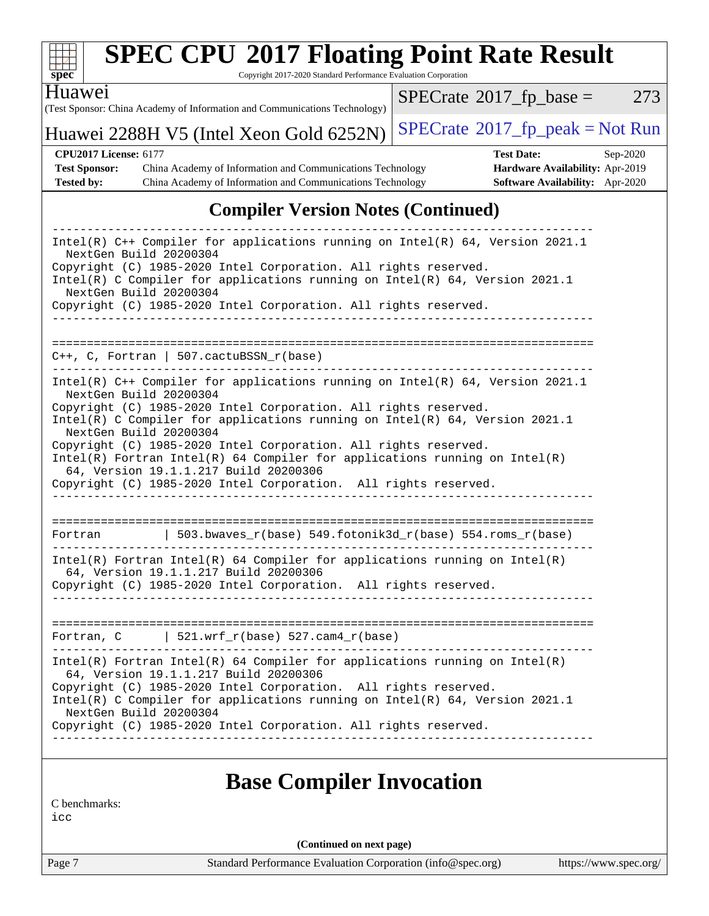

Copyright 2017-2020 Standard Performance Evaluation Corporation

Huawei

(Test Sponsor: China Academy of Information and Communications Technology)

 $SPECTate@2017_fp\_base = 273$ 

# Huawei 2288H V5 (Intel Xeon Gold  $6252N$ ) [SPECrate](http://www.spec.org/auto/cpu2017/Docs/result-fields.html#SPECrate2017fppeak)®[2017\\_fp\\_peak = N](http://www.spec.org/auto/cpu2017/Docs/result-fields.html#SPECrate2017fppeak)ot Run

**[CPU2017 License:](http://www.spec.org/auto/cpu2017/Docs/result-fields.html#CPU2017License)** 6177 **[Test Date:](http://www.spec.org/auto/cpu2017/Docs/result-fields.html#TestDate)** Sep-2020 **[Test Sponsor:](http://www.spec.org/auto/cpu2017/Docs/result-fields.html#TestSponsor)** China Academy of Information and Communications Technology **[Hardware Availability:](http://www.spec.org/auto/cpu2017/Docs/result-fields.html#HardwareAvailability)** Apr-2019 **[Tested by:](http://www.spec.org/auto/cpu2017/Docs/result-fields.html#Testedby)** China Academy of Information and Communications Technology **[Software Availability:](http://www.spec.org/auto/cpu2017/Docs/result-fields.html#SoftwareAvailability)** Apr-2020

## **[Compiler Version Notes \(Continued\)](http://www.spec.org/auto/cpu2017/Docs/result-fields.html#CompilerVersionNotes)**

| Intel(R) C++ Compiler for applications running on Intel(R) 64, Version 2021.1<br>NextGen Build 20200304<br>Copyright (C) 1985-2020 Intel Corporation. All rights reserved.<br>Intel(R) C Compiler for applications running on Intel(R) $64$ , Version 2021.1<br>NextGen Build 20200304<br>Copyright (C) 1985-2020 Intel Corporation. All rights reserved.<br>$C_{++}$ , C, Fortran   507.cactuBSSN_r(base)<br>Intel(R) C++ Compiler for applications running on Intel(R) 64, Version 2021.1<br>NextGen Build 20200304<br>Copyright (C) 1985-2020 Intel Corporation. All rights reserved.<br>Intel(R) C Compiler for applications running on Intel(R) 64, Version 2021.1<br>NextGen Build 20200304<br>Copyright (C) 1985-2020 Intel Corporation. All rights reserved.<br>$Intel(R)$ Fortran Intel(R) 64 Compiler for applications running on Intel(R)<br>64, Version 19.1.1.217 Build 20200306<br>Copyright (C) 1985-2020 Intel Corporation. All rights reserved.<br>  503.bwaves_r(base) 549.fotonik3d_r(base) 554.roms_r(base)<br>Fortran<br>$Intel(R)$ Fortran Intel(R) 64 Compiler for applications running on Intel(R)<br>64, Version 19.1.1.217 Build 20200306<br>Copyright (C) 1985-2020 Intel Corporation. All rights reserved.<br>$\vert$ 521.wrf_r(base) 527.cam4_r(base)<br>Fortran, C<br>$Intel(R)$ Fortran Intel(R) 64 Compiler for applications running on Intel(R)<br>64, Version 19.1.1.217 Build 20200306<br>Copyright (C) 1985-2020 Intel Corporation. All rights reserved.<br>Intel(R) C Compiler for applications running on Intel(R) 64, Version 2021.1<br>NextGen Build 20200304<br>Copyright (C) 1985-2020 Intel Corporation. All rights reserved. |  |
|--------------------------------------------------------------------------------------------------------------------------------------------------------------------------------------------------------------------------------------------------------------------------------------------------------------------------------------------------------------------------------------------------------------------------------------------------------------------------------------------------------------------------------------------------------------------------------------------------------------------------------------------------------------------------------------------------------------------------------------------------------------------------------------------------------------------------------------------------------------------------------------------------------------------------------------------------------------------------------------------------------------------------------------------------------------------------------------------------------------------------------------------------------------------------------------------------------------------------------------------------------------------------------------------------------------------------------------------------------------------------------------------------------------------------------------------------------------------------------------------------------------------------------------------------------------------------------------------------------------------------------------------------------------------------|--|
|                                                                                                                                                                                                                                                                                                                                                                                                                                                                                                                                                                                                                                                                                                                                                                                                                                                                                                                                                                                                                                                                                                                                                                                                                                                                                                                                                                                                                                                                                                                                                                                                                                                                          |  |
|                                                                                                                                                                                                                                                                                                                                                                                                                                                                                                                                                                                                                                                                                                                                                                                                                                                                                                                                                                                                                                                                                                                                                                                                                                                                                                                                                                                                                                                                                                                                                                                                                                                                          |  |
|                                                                                                                                                                                                                                                                                                                                                                                                                                                                                                                                                                                                                                                                                                                                                                                                                                                                                                                                                                                                                                                                                                                                                                                                                                                                                                                                                                                                                                                                                                                                                                                                                                                                          |  |
|                                                                                                                                                                                                                                                                                                                                                                                                                                                                                                                                                                                                                                                                                                                                                                                                                                                                                                                                                                                                                                                                                                                                                                                                                                                                                                                                                                                                                                                                                                                                                                                                                                                                          |  |
|                                                                                                                                                                                                                                                                                                                                                                                                                                                                                                                                                                                                                                                                                                                                                                                                                                                                                                                                                                                                                                                                                                                                                                                                                                                                                                                                                                                                                                                                                                                                                                                                                                                                          |  |
|                                                                                                                                                                                                                                                                                                                                                                                                                                                                                                                                                                                                                                                                                                                                                                                                                                                                                                                                                                                                                                                                                                                                                                                                                                                                                                                                                                                                                                                                                                                                                                                                                                                                          |  |
|                                                                                                                                                                                                                                                                                                                                                                                                                                                                                                                                                                                                                                                                                                                                                                                                                                                                                                                                                                                                                                                                                                                                                                                                                                                                                                                                                                                                                                                                                                                                                                                                                                                                          |  |

# **[Base Compiler Invocation](http://www.spec.org/auto/cpu2017/Docs/result-fields.html#BaseCompilerInvocation)**

[C benchmarks:](http://www.spec.org/auto/cpu2017/Docs/result-fields.html#Cbenchmarks)

[icc](http://www.spec.org/cpu2017/results/res2020q4/cpu2017-20201008-24140.flags.html#user_CCbase_intel_icc_66fc1ee009f7361af1fbd72ca7dcefbb700085f36577c54f309893dd4ec40d12360134090235512931783d35fd58c0460139e722d5067c5574d8eaf2b3e37e92)

**(Continued on next page)**

Page 7 Standard Performance Evaluation Corporation [\(info@spec.org\)](mailto:info@spec.org) <https://www.spec.org/>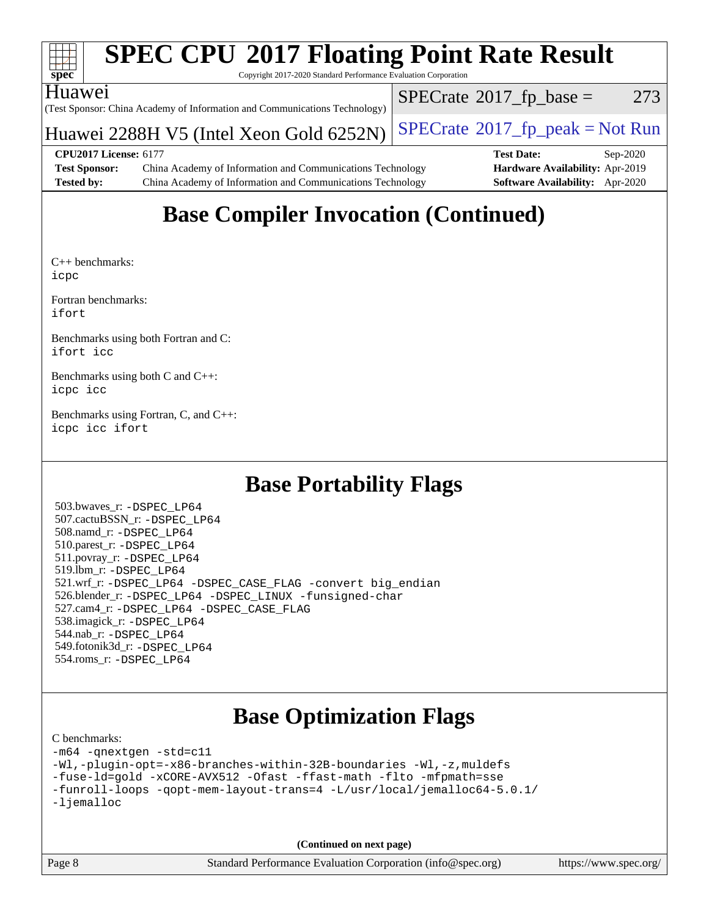

Copyright 2017-2020 Standard Performance Evaluation Corporation

### Huawei

(Test Sponsor: China Academy of Information and Communications Technology)

Huawei 2288H V5 (Intel Xeon Gold  $6252N$ ) [SPECrate](http://www.spec.org/auto/cpu2017/Docs/result-fields.html#SPECrate2017fppeak)®[2017\\_fp\\_peak = N](http://www.spec.org/auto/cpu2017/Docs/result-fields.html#SPECrate2017fppeak)ot Run

 $SPECTate@2017<sub>fr</sub> base = 273$ 

**[CPU2017 License:](http://www.spec.org/auto/cpu2017/Docs/result-fields.html#CPU2017License)** 6177 **[Test Date:](http://www.spec.org/auto/cpu2017/Docs/result-fields.html#TestDate)** Sep-2020 **[Test Sponsor:](http://www.spec.org/auto/cpu2017/Docs/result-fields.html#TestSponsor)** China Academy of Information and Communications Technology **[Hardware Availability:](http://www.spec.org/auto/cpu2017/Docs/result-fields.html#HardwareAvailability)** Apr-2019 **[Tested by:](http://www.spec.org/auto/cpu2017/Docs/result-fields.html#Testedby)** China Academy of Information and Communications Technology **[Software Availability:](http://www.spec.org/auto/cpu2017/Docs/result-fields.html#SoftwareAvailability)** Apr-2020

# **[Base Compiler Invocation \(Continued\)](http://www.spec.org/auto/cpu2017/Docs/result-fields.html#BaseCompilerInvocation)**

[C++ benchmarks](http://www.spec.org/auto/cpu2017/Docs/result-fields.html#CXXbenchmarks): [icpc](http://www.spec.org/cpu2017/results/res2020q4/cpu2017-20201008-24140.flags.html#user_CXXbase_intel_icpc_c510b6838c7f56d33e37e94d029a35b4a7bccf4766a728ee175e80a419847e808290a9b78be685c44ab727ea267ec2f070ec5dc83b407c0218cded6866a35d07)

[Fortran benchmarks](http://www.spec.org/auto/cpu2017/Docs/result-fields.html#Fortranbenchmarks): [ifort](http://www.spec.org/cpu2017/results/res2020q4/cpu2017-20201008-24140.flags.html#user_FCbase_intel_ifort_8111460550e3ca792625aed983ce982f94888b8b503583aa7ba2b8303487b4d8a21a13e7191a45c5fd58ff318f48f9492884d4413fa793fd88dd292cad7027ca)

[Benchmarks using both Fortran and C:](http://www.spec.org/auto/cpu2017/Docs/result-fields.html#BenchmarksusingbothFortranandC) [ifort](http://www.spec.org/cpu2017/results/res2020q4/cpu2017-20201008-24140.flags.html#user_CC_FCbase_intel_ifort_8111460550e3ca792625aed983ce982f94888b8b503583aa7ba2b8303487b4d8a21a13e7191a45c5fd58ff318f48f9492884d4413fa793fd88dd292cad7027ca) [icc](http://www.spec.org/cpu2017/results/res2020q4/cpu2017-20201008-24140.flags.html#user_CC_FCbase_intel_icc_66fc1ee009f7361af1fbd72ca7dcefbb700085f36577c54f309893dd4ec40d12360134090235512931783d35fd58c0460139e722d5067c5574d8eaf2b3e37e92)

[Benchmarks using both C and C++](http://www.spec.org/auto/cpu2017/Docs/result-fields.html#BenchmarksusingbothCandCXX): [icpc](http://www.spec.org/cpu2017/results/res2020q4/cpu2017-20201008-24140.flags.html#user_CC_CXXbase_intel_icpc_c510b6838c7f56d33e37e94d029a35b4a7bccf4766a728ee175e80a419847e808290a9b78be685c44ab727ea267ec2f070ec5dc83b407c0218cded6866a35d07) [icc](http://www.spec.org/cpu2017/results/res2020q4/cpu2017-20201008-24140.flags.html#user_CC_CXXbase_intel_icc_66fc1ee009f7361af1fbd72ca7dcefbb700085f36577c54f309893dd4ec40d12360134090235512931783d35fd58c0460139e722d5067c5574d8eaf2b3e37e92)

[Benchmarks using Fortran, C, and C++:](http://www.spec.org/auto/cpu2017/Docs/result-fields.html#BenchmarksusingFortranCandCXX) [icpc](http://www.spec.org/cpu2017/results/res2020q4/cpu2017-20201008-24140.flags.html#user_CC_CXX_FCbase_intel_icpc_c510b6838c7f56d33e37e94d029a35b4a7bccf4766a728ee175e80a419847e808290a9b78be685c44ab727ea267ec2f070ec5dc83b407c0218cded6866a35d07) [icc](http://www.spec.org/cpu2017/results/res2020q4/cpu2017-20201008-24140.flags.html#user_CC_CXX_FCbase_intel_icc_66fc1ee009f7361af1fbd72ca7dcefbb700085f36577c54f309893dd4ec40d12360134090235512931783d35fd58c0460139e722d5067c5574d8eaf2b3e37e92) [ifort](http://www.spec.org/cpu2017/results/res2020q4/cpu2017-20201008-24140.flags.html#user_CC_CXX_FCbase_intel_ifort_8111460550e3ca792625aed983ce982f94888b8b503583aa7ba2b8303487b4d8a21a13e7191a45c5fd58ff318f48f9492884d4413fa793fd88dd292cad7027ca)

# **[Base Portability Flags](http://www.spec.org/auto/cpu2017/Docs/result-fields.html#BasePortabilityFlags)**

 503.bwaves\_r: [-DSPEC\\_LP64](http://www.spec.org/cpu2017/results/res2020q4/cpu2017-20201008-24140.flags.html#suite_basePORTABILITY503_bwaves_r_DSPEC_LP64) 507.cactuBSSN\_r: [-DSPEC\\_LP64](http://www.spec.org/cpu2017/results/res2020q4/cpu2017-20201008-24140.flags.html#suite_basePORTABILITY507_cactuBSSN_r_DSPEC_LP64) 508.namd\_r: [-DSPEC\\_LP64](http://www.spec.org/cpu2017/results/res2020q4/cpu2017-20201008-24140.flags.html#suite_basePORTABILITY508_namd_r_DSPEC_LP64) 510.parest\_r: [-DSPEC\\_LP64](http://www.spec.org/cpu2017/results/res2020q4/cpu2017-20201008-24140.flags.html#suite_basePORTABILITY510_parest_r_DSPEC_LP64) 511.povray\_r: [-DSPEC\\_LP64](http://www.spec.org/cpu2017/results/res2020q4/cpu2017-20201008-24140.flags.html#suite_basePORTABILITY511_povray_r_DSPEC_LP64) 519.lbm\_r: [-DSPEC\\_LP64](http://www.spec.org/cpu2017/results/res2020q4/cpu2017-20201008-24140.flags.html#suite_basePORTABILITY519_lbm_r_DSPEC_LP64) 521.wrf\_r: [-DSPEC\\_LP64](http://www.spec.org/cpu2017/results/res2020q4/cpu2017-20201008-24140.flags.html#suite_basePORTABILITY521_wrf_r_DSPEC_LP64) [-DSPEC\\_CASE\\_FLAG](http://www.spec.org/cpu2017/results/res2020q4/cpu2017-20201008-24140.flags.html#b521.wrf_r_baseCPORTABILITY_DSPEC_CASE_FLAG) [-convert big\\_endian](http://www.spec.org/cpu2017/results/res2020q4/cpu2017-20201008-24140.flags.html#user_baseFPORTABILITY521_wrf_r_convert_big_endian_c3194028bc08c63ac5d04de18c48ce6d347e4e562e8892b8bdbdc0214820426deb8554edfa529a3fb25a586e65a3d812c835984020483e7e73212c4d31a38223) 526.blender\_r: [-DSPEC\\_LP64](http://www.spec.org/cpu2017/results/res2020q4/cpu2017-20201008-24140.flags.html#suite_basePORTABILITY526_blender_r_DSPEC_LP64) [-DSPEC\\_LINUX](http://www.spec.org/cpu2017/results/res2020q4/cpu2017-20201008-24140.flags.html#b526.blender_r_baseCPORTABILITY_DSPEC_LINUX) [-funsigned-char](http://www.spec.org/cpu2017/results/res2020q4/cpu2017-20201008-24140.flags.html#user_baseCPORTABILITY526_blender_r_force_uchar_40c60f00ab013830e2dd6774aeded3ff59883ba5a1fc5fc14077f794d777847726e2a5858cbc7672e36e1b067e7e5c1d9a74f7176df07886a243d7cc18edfe67) 527.cam4\_r: [-DSPEC\\_LP64](http://www.spec.org/cpu2017/results/res2020q4/cpu2017-20201008-24140.flags.html#suite_basePORTABILITY527_cam4_r_DSPEC_LP64) [-DSPEC\\_CASE\\_FLAG](http://www.spec.org/cpu2017/results/res2020q4/cpu2017-20201008-24140.flags.html#b527.cam4_r_baseCPORTABILITY_DSPEC_CASE_FLAG) 538.imagick\_r: [-DSPEC\\_LP64](http://www.spec.org/cpu2017/results/res2020q4/cpu2017-20201008-24140.flags.html#suite_basePORTABILITY538_imagick_r_DSPEC_LP64) 544.nab\_r: [-DSPEC\\_LP64](http://www.spec.org/cpu2017/results/res2020q4/cpu2017-20201008-24140.flags.html#suite_basePORTABILITY544_nab_r_DSPEC_LP64) 549.fotonik3d\_r: [-DSPEC\\_LP64](http://www.spec.org/cpu2017/results/res2020q4/cpu2017-20201008-24140.flags.html#suite_basePORTABILITY549_fotonik3d_r_DSPEC_LP64) 554.roms\_r: [-DSPEC\\_LP64](http://www.spec.org/cpu2017/results/res2020q4/cpu2017-20201008-24140.flags.html#suite_basePORTABILITY554_roms_r_DSPEC_LP64)

# **[Base Optimization Flags](http://www.spec.org/auto/cpu2017/Docs/result-fields.html#BaseOptimizationFlags)**

#### [C benchmarks](http://www.spec.org/auto/cpu2017/Docs/result-fields.html#Cbenchmarks):

```
-m64 -qnextgen -std=c11
-Wl,-plugin-opt=-x86-branches-within-32B-boundaries -Wl,-z,muldefs
-fuse-ld=gold -xCORE-AVX512 -Ofast -ffast-math -flto -mfpmath=sse
-funroll-loops -qopt-mem-layout-trans=4 -L/usr/local/jemalloc64-5.0.1/
-ljemalloc
```
**(Continued on next page)**

| Page 8 |  |
|--------|--|
|--------|--|

Page 8 Standard Performance Evaluation Corporation [\(info@spec.org\)](mailto:info@spec.org) <https://www.spec.org/>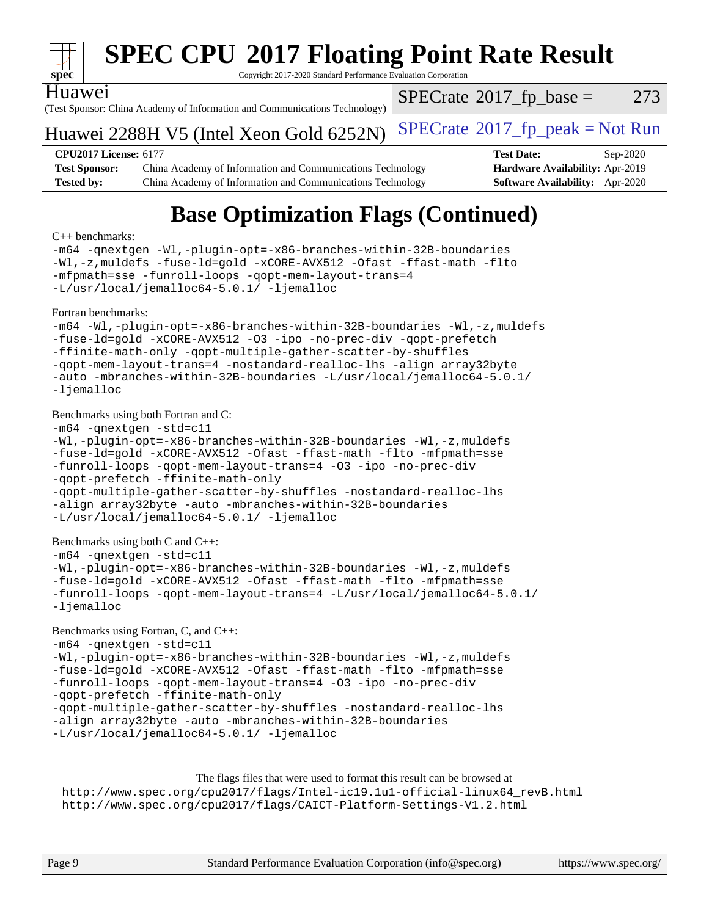

Copyright 2017-2020 Standard Performance Evaluation Corporation

### Huawei

(Test Sponsor: China Academy of Information and Communications Technology)

 $SPECTate@2017<sub>fr</sub> base = 273$ 

# Huawei 2288H V5 (Intel Xeon Gold  $6252N$ ) [SPECrate](http://www.spec.org/auto/cpu2017/Docs/result-fields.html#SPECrate2017fppeak)®[2017\\_fp\\_peak = N](http://www.spec.org/auto/cpu2017/Docs/result-fields.html#SPECrate2017fppeak)ot Run

**[Test Sponsor:](http://www.spec.org/auto/cpu2017/Docs/result-fields.html#TestSponsor)** China Academy of Information and Communications Technology **[Hardware Availability:](http://www.spec.org/auto/cpu2017/Docs/result-fields.html#HardwareAvailability)** Apr-2019 **[Tested by:](http://www.spec.org/auto/cpu2017/Docs/result-fields.html#Testedby)** China Academy of Information and Communications Technology **[Software Availability:](http://www.spec.org/auto/cpu2017/Docs/result-fields.html#SoftwareAvailability)** Apr-2020

**[CPU2017 License:](http://www.spec.org/auto/cpu2017/Docs/result-fields.html#CPU2017License)** 6177 **[Test Date:](http://www.spec.org/auto/cpu2017/Docs/result-fields.html#TestDate)** Sep-2020

# **[Base Optimization Flags \(Continued\)](http://www.spec.org/auto/cpu2017/Docs/result-fields.html#BaseOptimizationFlags)**

#### [C++ benchmarks:](http://www.spec.org/auto/cpu2017/Docs/result-fields.html#CXXbenchmarks)

[-m64](http://www.spec.org/cpu2017/results/res2020q4/cpu2017-20201008-24140.flags.html#user_CXXbase_m64-icc) [-qnextgen](http://www.spec.org/cpu2017/results/res2020q4/cpu2017-20201008-24140.flags.html#user_CXXbase_f-qnextgen) [-Wl,-plugin-opt=-x86-branches-within-32B-boundaries](http://www.spec.org/cpu2017/results/res2020q4/cpu2017-20201008-24140.flags.html#user_CXXbase_f-x86-branches-within-32B-boundaries_0098b4e4317ae60947b7b728078a624952a08ac37a3c797dfb4ffeb399e0c61a9dd0f2f44ce917e9361fb9076ccb15e7824594512dd315205382d84209e912f3) [-Wl,-z,muldefs](http://www.spec.org/cpu2017/results/res2020q4/cpu2017-20201008-24140.flags.html#user_CXXbase_link_force_multiple1_b4cbdb97b34bdee9ceefcfe54f4c8ea74255f0b02a4b23e853cdb0e18eb4525ac79b5a88067c842dd0ee6996c24547a27a4b99331201badda8798ef8a743f577) [-fuse-ld=gold](http://www.spec.org/cpu2017/results/res2020q4/cpu2017-20201008-24140.flags.html#user_CXXbase_f-fuse-ld_920b3586e2b8c6e0748b9c84fa9b744736ba725a32cab14ad8f3d4ad28eecb2f59d1144823d2e17006539a88734fe1fc08fc3035f7676166309105a78aaabc32) [-xCORE-AVX512](http://www.spec.org/cpu2017/results/res2020q4/cpu2017-20201008-24140.flags.html#user_CXXbase_f-xCORE-AVX512) [-Ofast](http://www.spec.org/cpu2017/results/res2020q4/cpu2017-20201008-24140.flags.html#user_CXXbase_f-Ofast) [-ffast-math](http://www.spec.org/cpu2017/results/res2020q4/cpu2017-20201008-24140.flags.html#user_CXXbase_f-ffast-math) [-flto](http://www.spec.org/cpu2017/results/res2020q4/cpu2017-20201008-24140.flags.html#user_CXXbase_f-flto) [-mfpmath=sse](http://www.spec.org/cpu2017/results/res2020q4/cpu2017-20201008-24140.flags.html#user_CXXbase_f-mfpmath_70eb8fac26bde974f8ab713bc9086c5621c0b8d2f6c86f38af0bd7062540daf19db5f3a066d8c6684be05d84c9b6322eb3b5be6619d967835195b93d6c02afa1) [-funroll-loops](http://www.spec.org/cpu2017/results/res2020q4/cpu2017-20201008-24140.flags.html#user_CXXbase_f-funroll-loops) [-qopt-mem-layout-trans=4](http://www.spec.org/cpu2017/results/res2020q4/cpu2017-20201008-24140.flags.html#user_CXXbase_f-qopt-mem-layout-trans_fa39e755916c150a61361b7846f310bcdf6f04e385ef281cadf3647acec3f0ae266d1a1d22d972a7087a248fd4e6ca390a3634700869573d231a252c784941a8) [-L/usr/local/jemalloc64-5.0.1/](http://www.spec.org/cpu2017/results/res2020q4/cpu2017-20201008-24140.flags.html#user_CXXbase_jemalloc_link_path64_1_7ef78e948e26f16679f66279b8b3f63c04c9803b9e8787420a99cca8bda14a41adf28ce5417d152fa73cc6ac5779a3e22f3d8249efa1649e07fa83494079cd98) [-ljemalloc](http://www.spec.org/cpu2017/results/res2020q4/cpu2017-20201008-24140.flags.html#user_CXXbase_jemalloc_link_lib_d1249b907c500fa1c0672f44f562e3d0f79738ae9e3c4a9c376d49f265a04b9c99b167ecedbf6711b3085be911c67ff61f150a17b3472be731631ba4d0471706) [Fortran benchmarks](http://www.spec.org/auto/cpu2017/Docs/result-fields.html#Fortranbenchmarks): [-m64](http://www.spec.org/cpu2017/results/res2020q4/cpu2017-20201008-24140.flags.html#user_FCbase_m64-icc) [-Wl,-plugin-opt=-x86-branches-within-32B-boundaries](http://www.spec.org/cpu2017/results/res2020q4/cpu2017-20201008-24140.flags.html#user_FCbase_f-x86-branches-within-32B-boundaries_0098b4e4317ae60947b7b728078a624952a08ac37a3c797dfb4ffeb399e0c61a9dd0f2f44ce917e9361fb9076ccb15e7824594512dd315205382d84209e912f3) [-Wl,-z,muldefs](http://www.spec.org/cpu2017/results/res2020q4/cpu2017-20201008-24140.flags.html#user_FCbase_link_force_multiple1_b4cbdb97b34bdee9ceefcfe54f4c8ea74255f0b02a4b23e853cdb0e18eb4525ac79b5a88067c842dd0ee6996c24547a27a4b99331201badda8798ef8a743f577) [-fuse-ld=gold](http://www.spec.org/cpu2017/results/res2020q4/cpu2017-20201008-24140.flags.html#user_FCbase_f-fuse-ld_920b3586e2b8c6e0748b9c84fa9b744736ba725a32cab14ad8f3d4ad28eecb2f59d1144823d2e17006539a88734fe1fc08fc3035f7676166309105a78aaabc32) [-xCORE-AVX512](http://www.spec.org/cpu2017/results/res2020q4/cpu2017-20201008-24140.flags.html#user_FCbase_f-xCORE-AVX512) [-O3](http://www.spec.org/cpu2017/results/res2020q4/cpu2017-20201008-24140.flags.html#user_FCbase_f-O3) [-ipo](http://www.spec.org/cpu2017/results/res2020q4/cpu2017-20201008-24140.flags.html#user_FCbase_f-ipo) [-no-prec-div](http://www.spec.org/cpu2017/results/res2020q4/cpu2017-20201008-24140.flags.html#user_FCbase_f-no-prec-div) [-qopt-prefetch](http://www.spec.org/cpu2017/results/res2020q4/cpu2017-20201008-24140.flags.html#user_FCbase_f-qopt-prefetch) [-ffinite-math-only](http://www.spec.org/cpu2017/results/res2020q4/cpu2017-20201008-24140.flags.html#user_FCbase_f_finite_math_only_cb91587bd2077682c4b38af759c288ed7c732db004271a9512da14a4f8007909a5f1427ecbf1a0fb78ff2a814402c6114ac565ca162485bbcae155b5e4258871) [-qopt-multiple-gather-scatter-by-shuffles](http://www.spec.org/cpu2017/results/res2020q4/cpu2017-20201008-24140.flags.html#user_FCbase_f-qopt-multiple-gather-scatter-by-shuffles) [-qopt-mem-layout-trans=4](http://www.spec.org/cpu2017/results/res2020q4/cpu2017-20201008-24140.flags.html#user_FCbase_f-qopt-mem-layout-trans_fa39e755916c150a61361b7846f310bcdf6f04e385ef281cadf3647acec3f0ae266d1a1d22d972a7087a248fd4e6ca390a3634700869573d231a252c784941a8) [-nostandard-realloc-lhs](http://www.spec.org/cpu2017/results/res2020q4/cpu2017-20201008-24140.flags.html#user_FCbase_f_2003_std_realloc_82b4557e90729c0f113870c07e44d33d6f5a304b4f63d4c15d2d0f1fab99f5daaed73bdb9275d9ae411527f28b936061aa8b9c8f2d63842963b95c9dd6426b8a) [-align array32byte](http://www.spec.org/cpu2017/results/res2020q4/cpu2017-20201008-24140.flags.html#user_FCbase_align_array32byte_b982fe038af199962ba9a80c053b8342c548c85b40b8e86eb3cc33dee0d7986a4af373ac2d51c3f7cf710a18d62fdce2948f201cd044323541f22fc0fffc51b6)

[-auto](http://www.spec.org/cpu2017/results/res2020q4/cpu2017-20201008-24140.flags.html#user_FCbase_f-auto) [-mbranches-within-32B-boundaries](http://www.spec.org/cpu2017/results/res2020q4/cpu2017-20201008-24140.flags.html#user_FCbase_f-mbranches-within-32B-boundaries) [-L/usr/local/jemalloc64-5.0.1/](http://www.spec.org/cpu2017/results/res2020q4/cpu2017-20201008-24140.flags.html#user_FCbase_jemalloc_link_path64_1_7ef78e948e26f16679f66279b8b3f63c04c9803b9e8787420a99cca8bda14a41adf28ce5417d152fa73cc6ac5779a3e22f3d8249efa1649e07fa83494079cd98) [-ljemalloc](http://www.spec.org/cpu2017/results/res2020q4/cpu2017-20201008-24140.flags.html#user_FCbase_jemalloc_link_lib_d1249b907c500fa1c0672f44f562e3d0f79738ae9e3c4a9c376d49f265a04b9c99b167ecedbf6711b3085be911c67ff61f150a17b3472be731631ba4d0471706)

[Benchmarks using both Fortran and C](http://www.spec.org/auto/cpu2017/Docs/result-fields.html#BenchmarksusingbothFortranandC):

```
-m64 -qnextgen -std=c11
-Wl,-plugin-opt=-x86-branches-within-32B-boundaries -Wl,-z,muldefs
-fuse-ld=gold -xCORE-AVX512 -Ofast -ffast-math -flto -mfpmath=sse
-funroll-loops -qopt-mem-layout-trans=4 -O3 -ipo -no-prec-div
-qopt-prefetch -ffinite-math-only
-qopt-multiple-gather-scatter-by-shuffles -nostandard-realloc-lhs
-align array32byte -auto -mbranches-within-32B-boundaries
-L/usr/local/jemalloc64-5.0.1/ -ljemalloc
```
[Benchmarks using both C and C++](http://www.spec.org/auto/cpu2017/Docs/result-fields.html#BenchmarksusingbothCandCXX):

[-m64](http://www.spec.org/cpu2017/results/res2020q4/cpu2017-20201008-24140.flags.html#user_CC_CXXbase_m64-icc) [-qnextgen](http://www.spec.org/cpu2017/results/res2020q4/cpu2017-20201008-24140.flags.html#user_CC_CXXbase_f-qnextgen) [-std=c11](http://www.spec.org/cpu2017/results/res2020q4/cpu2017-20201008-24140.flags.html#user_CC_CXXbase_std-icc-std_0e1c27790398a4642dfca32ffe6c27b5796f9c2d2676156f2e42c9c44eaad0c049b1cdb667a270c34d979996257aeb8fc440bfb01818dbc9357bd9d174cb8524)

```
-Wl,-plugin-opt=-x86-branches-within-32B-boundaries -Wl,-z,muldefs
-fuse-ld=gold -xCORE-AVX512 -Ofast -ffast-math -flto -mfpmath=sse
-funroll-loops -qopt-mem-layout-trans=4 -L/usr/local/jemalloc64-5.0.1/
-ljemalloc
```
#### [Benchmarks using Fortran, C, and C++:](http://www.spec.org/auto/cpu2017/Docs/result-fields.html#BenchmarksusingFortranCandCXX)

```
-m64 -qnextgen -std=c11
-Wl,-plugin-opt=-x86-branches-within-32B-boundaries -Wl,-z,muldefs
-fuse-ld=gold -xCORE-AVX512 -Ofast -ffast-math -flto -mfpmath=sse
-funroll-loops -qopt-mem-layout-trans=4 -O3 -ipo -no-prec-div
-qopt-prefetch -ffinite-math-only
-qopt-multiple-gather-scatter-by-shuffles -nostandard-realloc-lhs
-align array32byte -auto -mbranches-within-32B-boundaries
-L/usr/local/jemalloc64-5.0.1/ -ljemalloc
```
[The flags files that were used to format this result can be browsed at](tmsearch) [http://www.spec.org/cpu2017/flags/Intel-ic19.1u1-official-linux64\\_revB.html](http://www.spec.org/cpu2017/flags/Intel-ic19.1u1-official-linux64_revB.html) <http://www.spec.org/cpu2017/flags/CAICT-Platform-Settings-V1.2.html>